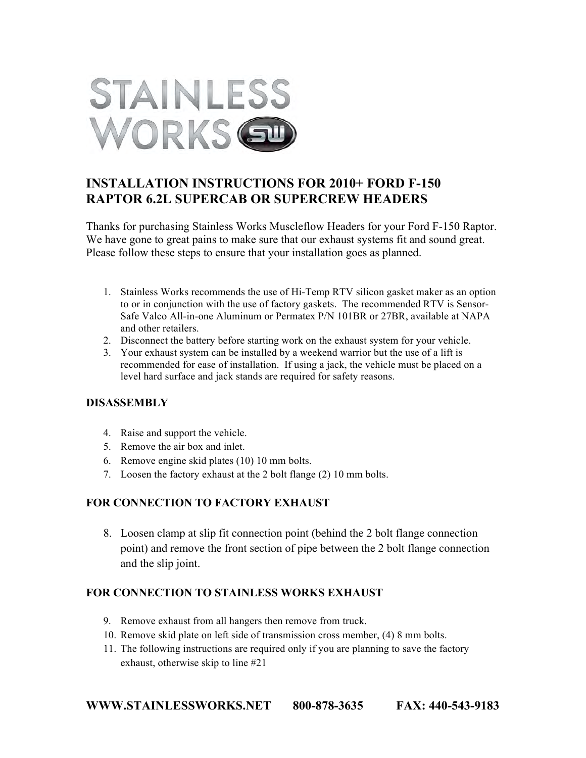

# **INSTALLATION INSTRUCTIONS FOR 2010+ FORD F-150 RAPTOR 6.2L SUPERCAB OR SUPERCREW HEADERS**

Thanks for purchasing Stainless Works Muscleflow Headers for your Ford F-150 Raptor. We have gone to great pains to make sure that our exhaust systems fit and sound great. Please follow these steps to ensure that your installation goes as planned.

- 1. Stainless Works recommends the use of Hi-Temp RTV silicon gasket maker as an option to or in conjunction with the use of factory gaskets. The recommended RTV is Sensor-Safe Valco All-in-one Aluminum or Permatex P/N 101BR or 27BR, available at NAPA and other retailers.
- 2. Disconnect the battery before starting work on the exhaust system for your vehicle.
- 3. Your exhaust system can be installed by a weekend warrior but the use of a lift is recommended for ease of installation. If using a jack, the vehicle must be placed on a level hard surface and jack stands are required for safety reasons.

### **DISASSEMBLY**

- 4. Raise and support the vehicle.
- 5. Remove the air box and inlet.
- 6. Remove engine skid plates (10) 10 mm bolts.
- 7. Loosen the factory exhaust at the 2 bolt flange (2) 10 mm bolts.

# **FOR CONNECTION TO FACTORY EXHAUST**

8. Loosen clamp at slip fit connection point (behind the 2 bolt flange connection point) and remove the front section of pipe between the 2 bolt flange connection and the slip joint.

### **FOR CONNECTION TO STAINLESS WORKS EXHAUST**

- 9. Remove exhaust from all hangers then remove from truck.
- 10. Remove skid plate on left side of transmission cross member, (4) 8 mm bolts.
- 11. The following instructions are required only if you are planning to save the factory exhaust, otherwise skip to line #21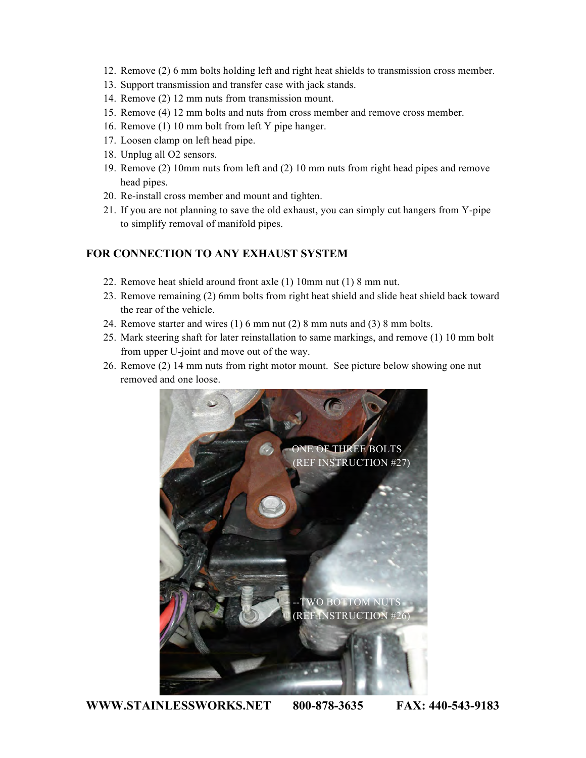- 12. Remove (2) 6 mm bolts holding left and right heat shields to transmission cross member.
- 13. Support transmission and transfer case with jack stands.
- 14. Remove (2) 12 mm nuts from transmission mount.
- 15. Remove (4) 12 mm bolts and nuts from cross member and remove cross member.
- 16. Remove (1) 10 mm bolt from left Y pipe hanger.
- 17. Loosen clamp on left head pipe.
- 18. Unplug all O2 sensors.
- 19. Remove (2) 10mm nuts from left and (2) 10 mm nuts from right head pipes and remove head pipes.
- 20. Re-install cross member and mount and tighten.
- 21. If you are not planning to save the old exhaust, you can simply cut hangers from Y-pipe to simplify removal of manifold pipes.

## **FOR CONNECTION TO ANY EXHAUST SYSTEM**

- 22. Remove heat shield around front axle (1) 10mm nut (1) 8 mm nut.
- 23. Remove remaining (2) 6mm bolts from right heat shield and slide heat shield back toward the rear of the vehicle.
- 24. Remove starter and wires (1) 6 mm nut (2) 8 mm nuts and (3) 8 mm bolts.
- 25. Mark steering shaft for later reinstallation to same markings, and remove (1) 10 mm bolt from upper U-joint and move out of the way.
- 26. Remove (2) 14 mm nuts from right motor mount. See picture below showing one nut removed and one loose.



**WWW.STAINLESSWORKS.NET 800-878-3635 FAX: 440-543-9183**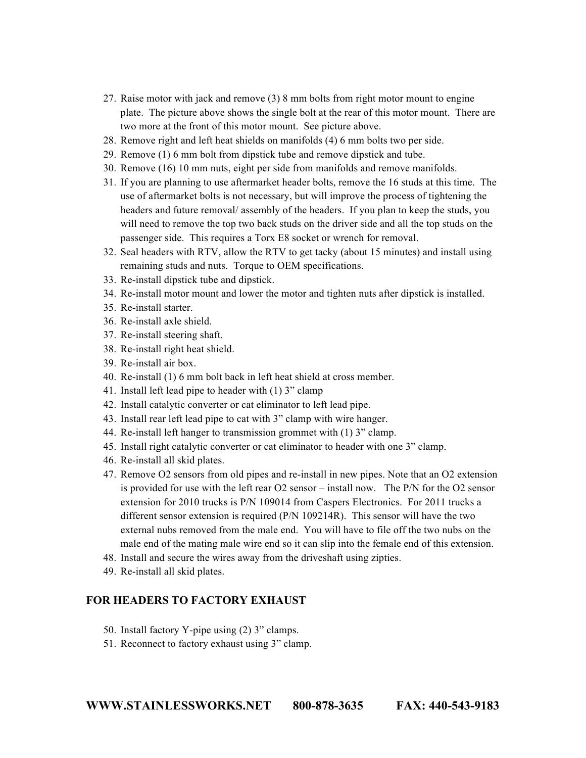- 27. Raise motor with jack and remove (3) 8 mm bolts from right motor mount to engine plate. The picture above shows the single bolt at the rear of this motor mount. There are two more at the front of this motor mount. See picture above.
- 28. Remove right and left heat shields on manifolds (4) 6 mm bolts two per side.
- 29. Remove (1) 6 mm bolt from dipstick tube and remove dipstick and tube.
- 30. Remove (16) 10 mm nuts, eight per side from manifolds and remove manifolds.
- 31. If you are planning to use aftermarket header bolts, remove the 16 studs at this time. The use of aftermarket bolts is not necessary, but will improve the process of tightening the headers and future removal/ assembly of the headers. If you plan to keep the studs, you will need to remove the top two back studs on the driver side and all the top studs on the passenger side. This requires a Torx E8 socket or wrench for removal.
- 32. Seal headers with RTV, allow the RTV to get tacky (about 15 minutes) and install using remaining studs and nuts. Torque to OEM specifications.
- 33. Re-install dipstick tube and dipstick.
- 34. Re-install motor mount and lower the motor and tighten nuts after dipstick is installed.
- 35. Re-install starter.
- 36. Re-install axle shield.
- 37. Re-install steering shaft.
- 38. Re-install right heat shield.
- 39. Re-install air box.
- 40. Re-install (1) 6 mm bolt back in left heat shield at cross member.
- 41. Install left lead pipe to header with (1) 3" clamp
- 42. Install catalytic converter or cat eliminator to left lead pipe.
- 43. Install rear left lead pipe to cat with 3" clamp with wire hanger.
- 44. Re-install left hanger to transmission grommet with (1) 3" clamp.
- 45. Install right catalytic converter or cat eliminator to header with one 3" clamp.
- 46. Re-install all skid plates.
- 47. Remove O2 sensors from old pipes and re-install in new pipes. Note that an O2 extension is provided for use with the left rear O2 sensor – install now. The P/N for the O2 sensor extension for 2010 trucks is P/N 109014 from Caspers Electronics. For 2011 trucks a different sensor extension is required (P/N 109214R). This sensor will have the two external nubs removed from the male end. You will have to file off the two nubs on the male end of the mating male wire end so it can slip into the female end of this extension.
- 48. Install and secure the wires away from the driveshaft using zipties.
- 49. Re-install all skid plates.

#### **FOR HEADERS TO FACTORY EXHAUST**

- 50. Install factory Y-pipe using (2) 3" clamps.
- 51. Reconnect to factory exhaust using 3" clamp.